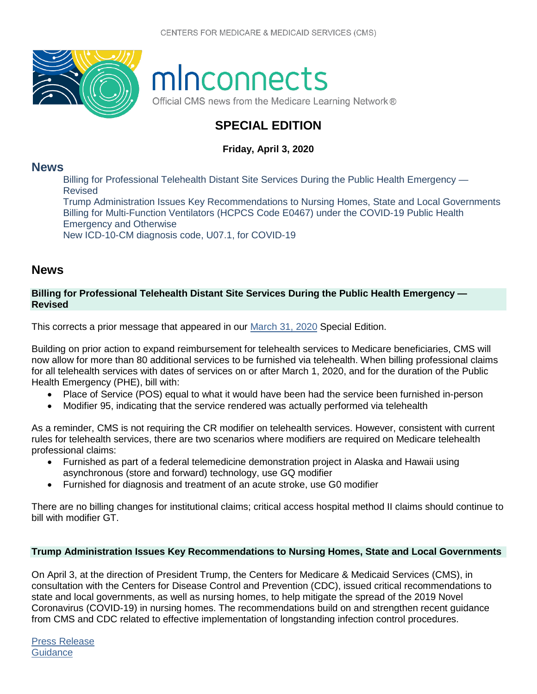

# minconnects

Official CMS news from the Medicare Learning Network®

# **SPECIAL EDITION**

## **Friday, April 3, 2020**

## **[News](#page-0-0)**

[Billing for Professional Telehealth Distant Site Services During the Public Health Emergency —](#page-0-1)  [Revised](#page-0-1)

[Trump Administration Issues Key Recommendations to Nursing Homes, State and Local Governments](#page-0-2) [Billing for Multi-Function Ventilators \(HCPCS Code E0467\) under the COVID-19 Public Health](#page-1-0)  [Emergency and Otherwise](#page-1-0)

[New ICD-10-CM diagnosis code, U07.1, for COVID-19](#page-1-1)

# <span id="page-0-0"></span>**News**

#### <span id="page-0-1"></span>**Billing for Professional Telehealth Distant Site Services During the Public Health Emergency — Revised**

This corrects a prior message that appeared in our [March 31, 2020](https://www.cms.gov/outreach-and-educationoutreachffsprovpartprogprovider-partnership-email-archive/2020-03-31-mlnc-se) Special Edition.

Building on prior action to expand reimbursement for telehealth services to Medicare beneficiaries, CMS will now allow for more than 80 additional services to be furnished via telehealth. When billing professional claims for all telehealth services with dates of services on or after March 1, 2020, and for the duration of the Public Health Emergency (PHE), bill with:

- Place of Service (POS) equal to what it would have been had the service been furnished in-person
- Modifier 95, indicating that the service rendered was actually performed via telehealth

As a reminder, CMS is not requiring the CR modifier on telehealth services. However, consistent with current rules for telehealth services, there are two scenarios where modifiers are required on Medicare telehealth professional claims:

- Furnished as part of a federal telemedicine demonstration project in Alaska and Hawaii using asynchronous (store and forward) technology, use GQ modifier
- Furnished for diagnosis and treatment of an acute stroke, use G0 modifier

There are no billing changes for institutional claims; critical access hospital method II claims should continue to bill with modifier GT.

#### <span id="page-0-2"></span>**Trump Administration Issues Key Recommendations to Nursing Homes, State and Local Governments**

On April 3, at the direction of President Trump, the Centers for Medicare & Medicaid Services (CMS), in consultation with the Centers for Disease Control and Prevention (CDC), issued critical recommendations to state and local governments, as well as nursing homes, to help mitigate the spread of the 2019 Novel Coronavirus (COVID-19) in nursing homes. The recommendations build on and strengthen recent guidance from CMS and CDC related to effective implementation of longstanding infection control procedures.

[Press Release](https://www.cms.gov/newsroom/press-releases/trump-administration-issues-key-recommendations-nursing-homes-state-and-local-governments) **[Guidance](https://www.cms.gov/files/document/4220-covid-19-long-term-care-facility-guidance.pdf)**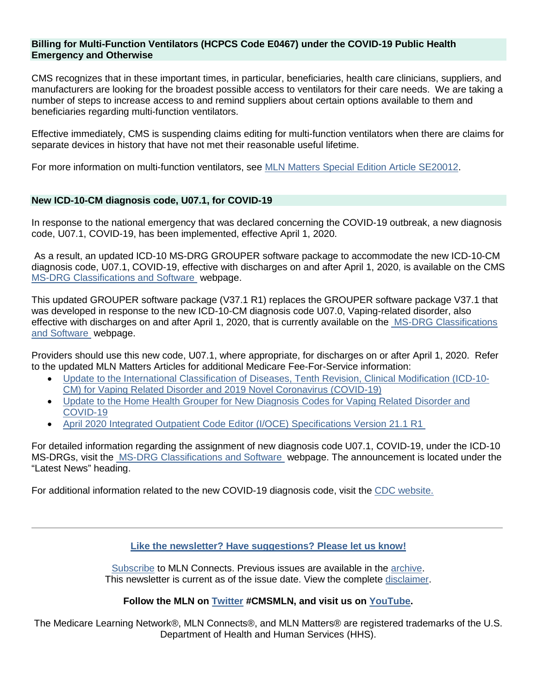#### <span id="page-1-0"></span>**Billing for Multi-Function Ventilators (HCPCS Code E0467) under the COVID-19 Public Health Emergency and Otherwise**

CMS recognizes that in these important times, in particular, beneficiaries, health care clinicians, suppliers, and manufacturers are looking for the broadest possible access to ventilators for their care needs. We are taking a number of steps to increase access to and remind suppliers about certain options available to them and beneficiaries regarding multi-function ventilators.

Effective immediately, CMS is suspending claims editing for multi-function ventilators when there are claims for separate devices in history that have not met their reasonable useful lifetime.

For more information on multi-function ventilators, see [MLN Matters Special Edition Article SE20012.](https://www.cms.gov/files/document/se20012.pdf)

#### <span id="page-1-1"></span>**New ICD-10-CM diagnosis code, U07.1, for COVID-19**

In response to the national emergency that was declared concerning the COVID-19 outbreak, a new diagnosis code, U07.1, COVID-19, has been implemented, effective April 1, 2020.

As a result, an updated ICD-10 MS-DRG GROUPER software package to accommodate the new ICD-10-CM diagnosis code, U07.1, COVID-19, effective with discharges on and after April 1, 2020, is available on the CMS [MS-DRG Classifications and Software](https://www.cms.gov/Medicare/Medicare-Fee-for-Service-Payment/AcuteInpatientPPS/MS-DRG-Classifications-and-Software) webpage.

This updated GROUPER software package (V37.1 R1) replaces the GROUPER software package V37.1 that was developed in response to the new ICD-10-CM diagnosis code U07.0, Vaping-related disorder, also effective with discharges on and after April 1, 2020, that is currently available on the MS-DRG Classifications [and Software](https://www.cms.gov/Medicare/Medicare-Fee-for-Service-Payment/AcuteInpatientPPS/MS-DRG-Classifications-and-Software) webpage.

Providers should use this new code, U07.1, where appropriate, for discharges on or after April 1, 2020. Refer to the updated MLN Matters Articles for additional Medicare Fee-For-Service information:

- [Update to the International Classification of Diseases, Tenth Revision, Clinical Modification \(ICD-10-](https://www.cms.gov/files/document/mm11623.pdf) [CM\) for Vaping Related Disorder and 2019 Novel Coronavirus \(COVID-19\)](https://www.cms.gov/files/document/mm11623.pdf)
- [Update to the Home Health Grouper for New Diagnosis Codes for Vaping Related Disorder and](https://www.cms.gov/files/document/mm11656.pdf)  [COVID-19](https://www.cms.gov/files/document/mm11656.pdf)
- [April 2020 Integrated Outpatient Code Editor \(I/OCE\) Specifications Version 21.1 R1](https://www.cms.gov/files/document/mm11680.pdf)

For detailed information regarding the assignment of new diagnosis code U07.1, COVID-19, under the ICD-10 MS-DRGs, visit the [MS-DRG Classifications and Software](https://www.cms.gov/Medicare/Medicare-Fee-for-Service-Payment/AcuteInpatientPPS/MS-DRG-Classifications-and-Software) webpage. The announcement is located under the "Latest News" heading.

For additional information related to the new COVID-19 diagnosis code, visit the [CDC website.](https://www.cdc.gov/nchs/icd/icd10cm.htm)

**[Like the newsletter? Have suggestions? Please let us know!](https://www.surveymonkey.com/r/2020MLNConnectsFeedback)**

[Subscribe](https://www.cms.gov/Outreach-and-Education/Outreach/FFSProvPartProg/Electronic-Mailing-Lists.html) to MLN Connects. Previous issues are available in the [archive.](http://www.cms.gov/Outreach-and-Education/Outreach/FFSProvPartProg/Provider-Partnership-Email-Archive.html) This newsletter is current as of the issue date. View the complete [disclaimer.](https://www.cms.gov/Outreach-and-Education/Medicare-Learning-Network-MLN/MLNProducts/MLN-Product-Disclaimer.html)

#### **Follow the MLN on [Twitter](https://twitter.com/CMSGov) #CMSMLN, and visit us on [YouTube.](http://www.youtube.com/playlist?list=PLaV7m2-zFKpihHxb4AiWNjbsIUUKCGljK)**

The Medicare Learning Network®, MLN Connects®, and MLN Matters® are registered trademarks of the U.S. Department of Health and Human Services (HHS).